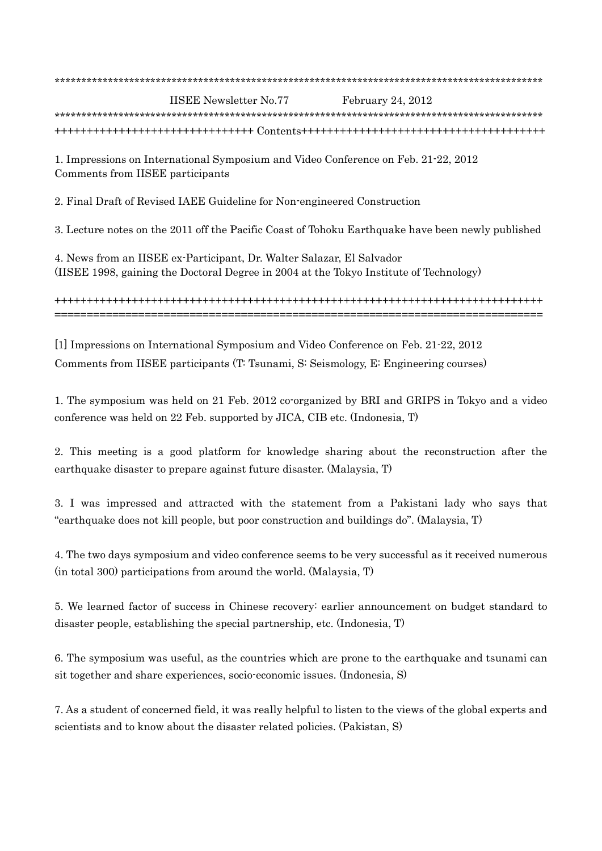| <b>IISEE Newsletter No.77</b> | February 24, $2012$ |
|-------------------------------|---------------------|
|                               |                     |
|                               |                     |

1. Impressions on International Symposium and Video Conference on Feb. 21-22, 2012 Comments from IISEE participants

2. Final Draft of Revised IAEE Guideline for Non-engineered Construction

3. Lecture notes on the 2011 off the Pacific Coast of Tohoku Earthquake have been newly published

4. News from an IISEE ex-Participant, Dr. Walter Salazar, El Salvador (IISEE 1998, gaining the Doctoral Degree in 2004 at the Tokyo Institute of Technology)

++++++++++++++++++++++++++++++++++++++++++++++++++++++++++++++++++++++++++++ ============================================================================

[1] Impressions on International Symposium and Video Conference on Feb. 21-22, 2012 Comments from IISEE participants (T: Tsunami, S: Seismology, E: Engineering courses)

1. The symposium was held on 21 Feb. 2012 co-organized by BRI and GRIPS in Tokyo and a video conference was held on 22 Feb. supported by JICA, CIB etc. (Indonesia, T)

2. This meeting is a good platform for knowledge sharing about the reconstruction after the earthquake disaster to prepare against future disaster. (Malaysia, T)

3. I was impressed and attracted with the statement from a Pakistani lady who says that "earthquake does not kill people, but poor construction and buildings do". (Malaysia, T)

4. The two days symposium and video conference seems to be very successful as it received numerous (in total 300) participations from around the world. (Malaysia, T)

5. We learned factor of success in Chinese recovery: earlier announcement on budget standard to disaster people, establishing the special partnership, etc. (Indonesia, T)

6. The symposium was useful, as the countries which are prone to the earthquake and tsunami can sit together and share experiences, socio-economic issues. (Indonesia, S)

7. As a student of concerned field, it was really helpful to listen to the views of the global experts and scientists and to know about the disaster related policies. (Pakistan, S)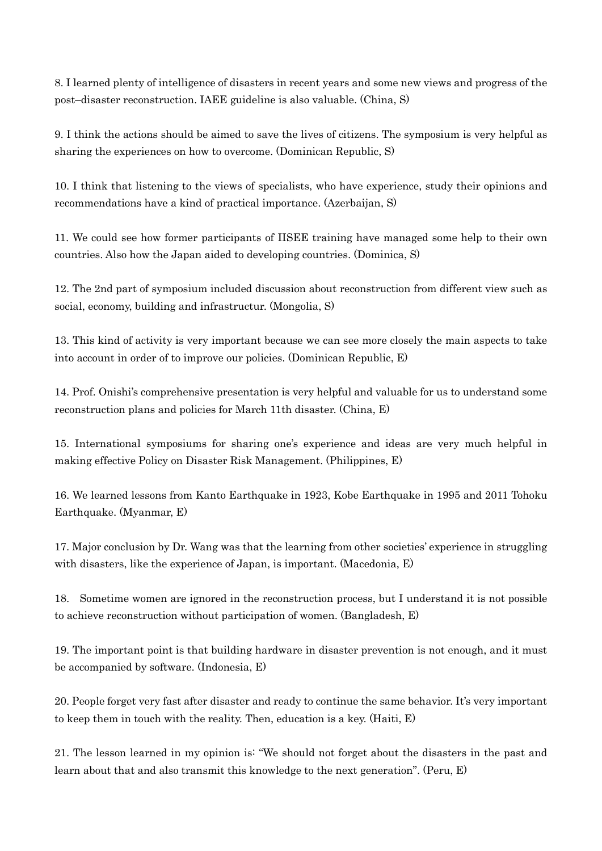8. I learned plenty of intelligence of disasters in recent years and some new views and progress of the post–disaster reconstruction. IAEE guideline is also valuable. (China, S)

9. I think the actions should be aimed to save the lives of citizens. The symposium is very helpful as sharing the experiences on how to overcome. (Dominican Republic, S)

10. I think that listening to the views of specialists, who have experience, study their opinions and recommendations have a kind of practical importance. (Azerbaijan, S)

11. We could see how former participants of IISEE training have managed some help to their own countries. Also how the Japan aided to developing countries. (Dominica, S)

12. The 2nd part of symposium included discussion about reconstruction from different view such as social, economy, building and infrastructur. (Mongolia, S)

13. This kind of activity is very important because we can see more closely the main aspects to take into account in order of to improve our policies. (Dominican Republic, E)

14. Prof. Onishi's comprehensive presentation is very helpful and valuable for us to understand some reconstruction plans and policies for March 11th disaster. (China, E)

15. International symposiums for sharing one's experience and ideas are very much helpful in making effective Policy on Disaster Risk Management. (Philippines, E)

16. We learned lessons from Kanto Earthquake in 1923, Kobe Earthquake in 1995 and 2011 Tohoku Earthquake. (Myanmar, E)

17. Major conclusion by Dr. Wang was that the learning from other societies' experience in struggling with disasters, like the experience of Japan, is important. (Macedonia, E)

18. Sometime women are ignored in the reconstruction process, but I understand it is not possible to achieve reconstruction without participation of women. (Bangladesh, E)

19. The important point is that building hardware in disaster prevention is not enough, and it must be accompanied by software. (Indonesia, E)

20. People forget very fast after disaster and ready to continue the same behavior. It's very important to keep them in touch with the reality. Then, education is a key. (Haiti, E)

21. The lesson learned in my opinion is: "We should not forget about the disasters in the past and learn about that and also transmit this knowledge to the next generation". (Peru, E)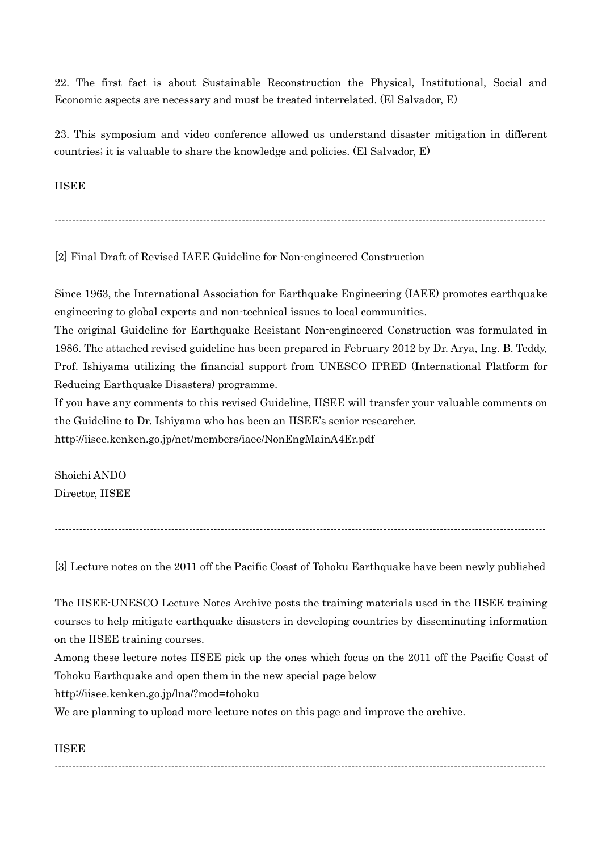22. The first fact is about Sustainable Reconstruction the Physical, Institutional, Social and Economic aspects are necessary and must be treated interrelated. (El Salvador, E)

23. This symposium and video conference allowed us understand disaster mitigation in different countries; it is valuable to share the knowledge and policies. (El Salvador, E)

IISEE

-------------------------------------------------------------------------------------------------------------------------------------------

[2] Final Draft of Revised IAEE Guideline for Non-engineered Construction

Since 1963, the International Association for Earthquake Engineering (IAEE) promotes earthquake engineering to global experts and non-technical issues to local communities.

The original Guideline for Earthquake Resistant Non-engineered Construction was formulated in 1986. The attached revised guideline has been prepared in February 2012 by Dr. Arya, Ing. B. Teddy, Prof. Ishiyama utilizing the financial support from UNESCO IPRED (International Platform for Reducing Earthquake Disasters) programme.

If you have any comments to this revised Guideline, IISEE will transfer your valuable comments on the Guideline to Dr. Ishiyama who has been an IISEE's senior researcher. http://iisee.kenken.go.jp/net/members/iaee/NonEngMainA4Er.pdf

Shoichi ANDO Director, IISEE

-------------------------------------------------------------------------------------------------------------------------------------------

[3] Lecture notes on the 2011 off the Pacific Coast of Tohoku Earthquake have been newly published

The IISEE-UNESCO Lecture Notes Archive posts the training materials used in the IISEE training courses to help mitigate earthquake disasters in developing countries by disseminating information on the IISEE training courses.

Among these lecture notes IISEE pick up the ones which focus on the 2011 off the Pacific Coast of Tohoku Earthquake and open them in the new special page below

http://iisee.kenken.go.jp/lna/?mod=tohoku

We are planning to upload more lecture notes on this page and improve the archive.

## IISEE

-------------------------------------------------------------------------------------------------------------------------------------------